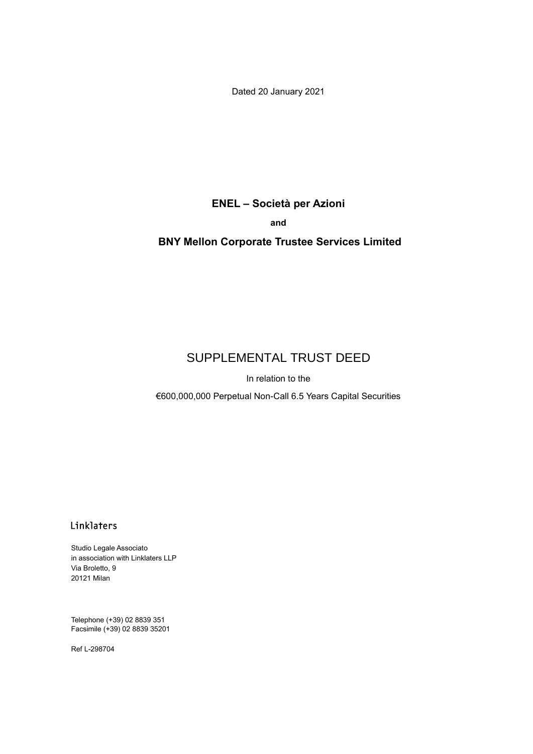Dated 20 January 2021

**ENEL – Società per Azioni and**

# **BNY Mellon Corporate Trustee Services Limited**

# SUPPLEMENTAL TRUST DEED

In relation to the

€600,000,000 Perpetual Non-Call 6.5 Years Capital Securities

# Linklaters

Studio Legale Associato in association with Linklaters LLP Via Broletto, 9 20121 Milan

Telephone (+39) 02 8839 351 Facsimile (+39) 02 8839 35201

Ref L-298704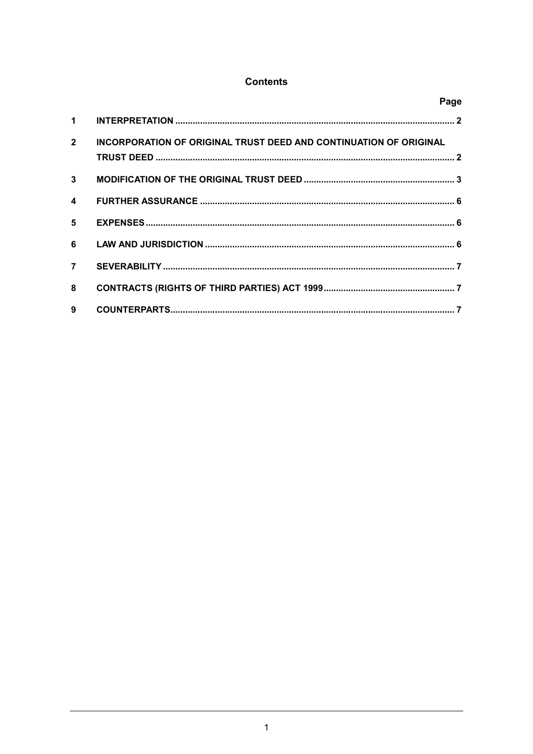# **Contents**

|                      | Page                                                                     |  |
|----------------------|--------------------------------------------------------------------------|--|
| $\blacktriangleleft$ |                                                                          |  |
| $\overline{2}$       | <b>INCORPORATION OF ORIGINAL TRUST DEED AND CONTINUATION OF ORIGINAL</b> |  |
| $\mathbf{3}$         |                                                                          |  |
| $\boldsymbol{A}$     |                                                                          |  |
| 5.                   |                                                                          |  |
| 6                    |                                                                          |  |
| $\overline{7}$       |                                                                          |  |
| 8                    |                                                                          |  |
| 9                    |                                                                          |  |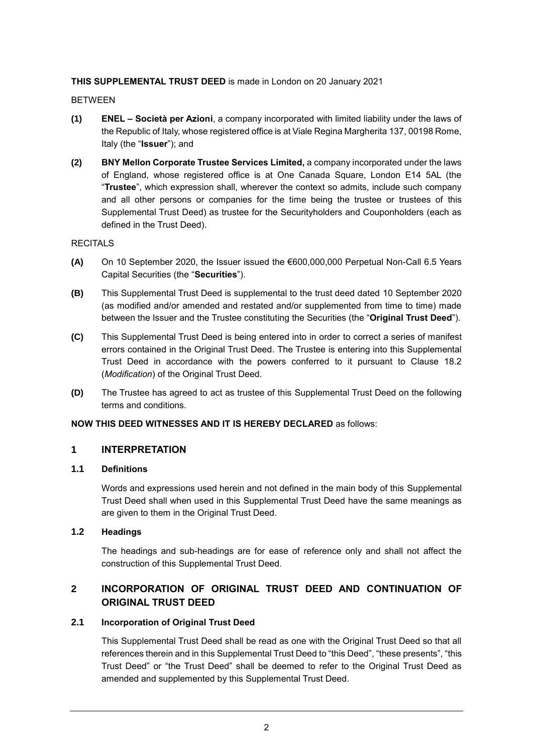#### **THIS SUPPLEMENTAL TRUST DEED** is made in London on 20 January 2021

BETWEEN

- **(1) ENEL – Società per Azioni**, a company incorporated with limited liability under the laws of the Republic of Italy, whose registered office is at Viale Regina Margherita 137, 00198 Rome, Italy (the "**Issuer**"); and
- **(2) BNY Mellon Corporate Trustee Services Limited,** a company incorporated under the laws of England, whose registered office is at One Canada Square, London E14 5AL (the "**Trustee**", which expression shall, wherever the context so admits, include such company and all other persons or companies for the time being the trustee or trustees of this Supplemental Trust Deed) as trustee for the Securityholders and Couponholders (each as defined in the Trust Deed).

#### **RECITALS**

- **(A)** On 10 September 2020, the Issuer issued the €600,000,000 Perpetual Non-Call 6.5 Years Capital Securities (the "**Securities**").
- **(B)** This Supplemental Trust Deed is supplemental to the trust deed dated 10 September 2020 (as modified and/or amended and restated and/or supplemented from time to time) made between the Issuer and the Trustee constituting the Securities (the "**Original Trust Deed**").
- **(C)** This Supplemental Trust Deed is being entered into in order to correct a series of manifest errors contained in the Original Trust Deed. The Trustee is entering into this Supplemental Trust Deed in accordance with the powers conferred to it pursuant to Clause 18.2 (*Modification*) of the Original Trust Deed.
- **(D)** The Trustee has agreed to act as trustee of this Supplemental Trust Deed on the following terms and conditions.

#### **NOW THIS DEED WITNESSES AND IT IS HEREBY DECLARED** as follows:

### **1 INTERPRETATION**

#### **1.1 Definitions**

Words and expressions used herein and not defined in the main body of this Supplemental Trust Deed shall when used in this Supplemental Trust Deed have the same meanings as are given to them in the Original Trust Deed.

#### **1.2 Headings**

The headings and sub-headings are for ease of reference only and shall not affect the construction of this Supplemental Trust Deed.

# **2 INCORPORATION OF ORIGINAL TRUST DEED AND CONTINUATION OF ORIGINAL TRUST DEED**

#### **2.1 Incorporation of Original Trust Deed**

This Supplemental Trust Deed shall be read as one with the Original Trust Deed so that all references therein and in this Supplemental Trust Deed to "this Deed", "these presents", "this Trust Deed" or "the Trust Deed" shall be deemed to refer to the Original Trust Deed as amended and supplemented by this Supplemental Trust Deed.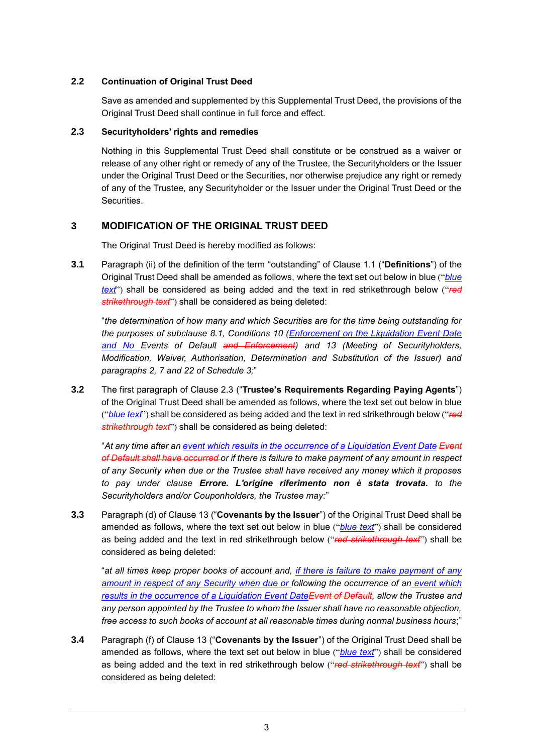### **2.2 Continuation of Original Trust Deed**

Save as amended and supplemented by this Supplemental Trust Deed, the provisions of the Original Trust Deed shall continue in full force and effect.

#### **2.3 Securityholders' rights and remedies**

Nothing in this Supplemental Trust Deed shall constitute or be construed as a waiver or release of any other right or remedy of any of the Trustee, the Securityholders or the Issuer under the Original Trust Deed or the Securities, nor otherwise prejudice any right or remedy of any of the Trustee, any Securityholder or the Issuer under the Original Trust Deed or the Securities.

# **3 MODIFICATION OF THE ORIGINAL TRUST DEED**

The Original Trust Deed is hereby modified as follows:

**3.1** Paragraph (ii) of the definition of the term "outstanding" of Clause 1.1 ("**Definitions**") of the Original Trust Deed shall be amended as follows, where the text set out below in blue ("*blue text*") shall be considered as being added and the text in red strikethrough below ("*red strikethrough text*") shall be considered as being deleted:

"*the determination of how many and which Securities are for the time being outstanding for the purposes of subclause 8.1, Conditions 10 (Enforcement on the Liquidation Event Date*  and No Events of Default and Enforcement) and 13 (Meeting of Securityholders, *Modification, Waiver, Authorisation, Determination and Substitution of the Issuer) and paragraphs 2, 7 and 22 of Schedule 3;*"

**3.2** The first paragraph of Clause 2.3 ("**Trustee's Requirements Regarding Paying Agents**") of the Original Trust Deed shall be amended as follows, where the text set out below in blue ("*blue text*") shall be considered as being added and the text in red strikethrough below ("*red strikethrough text*") shall be considered as being deleted:

"*At any time after an event which results in the occurrence of a Liquidation Event Date Event of Default shall have occurred or if there is failure to make payment of any amount in respect of any Security when due or the Trustee shall have received any money which it proposes to pay under clause Errore. L'origine riferimento non è stata trovata. to the Securityholders and/or Couponholders, the Trustee may:*"

**3.3** Paragraph (d) of Clause 13 ("**Covenants by the Issuer**") of the Original Trust Deed shall be amended as follows, where the text set out below in blue ("*blue text*") shall be considered as being added and the text in red strikethrough below ("*red strikethrough text*") shall be considered as being deleted:

"*at all times keep proper books of account and, if there is failure to make payment of any amount in respect of any Security when due or following the occurrence of an event which results in the occurrence of a Liquidation Event DateEvent of Default, allow the Trustee and any person appointed by the Trustee to whom the Issuer shall have no reasonable objection, free access to such books of account at all reasonable times during normal business hours*;"

**3.4** Paragraph (f) of Clause 13 ("**Covenants by the Issuer**") of the Original Trust Deed shall be amended as follows, where the text set out below in blue ("*blue text*") shall be considered as being added and the text in red strikethrough below ("*red strikethrough text*") shall be considered as being deleted: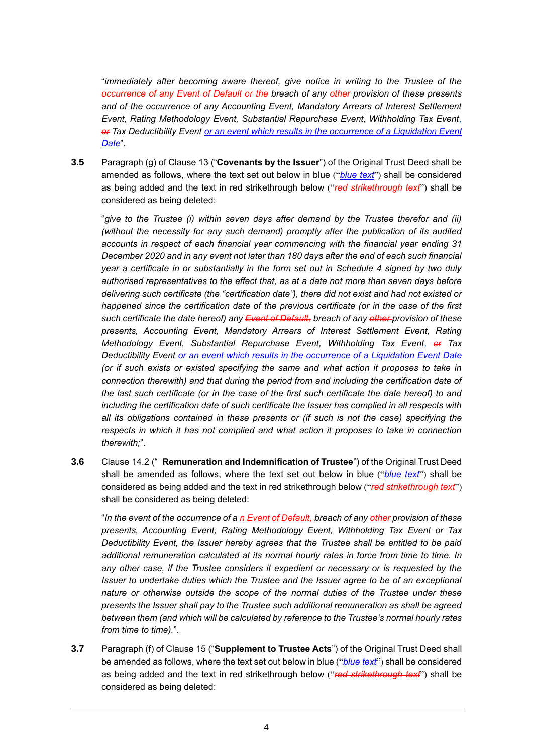"*immediately after becoming aware thereof, give notice in writing to the Trustee of the occurrence of any Event of Default or the breach of any other provision of these presents and of the occurrence of any Accounting Event, Mandatory Arrears of Interest Settlement Event, Rating Methodology Event, Substantial Repurchase Event, Withholding Tax Event, or Tax Deductibility Event or an event which results in the occurrence of a Liquidation Event Date*".

**3.5** Paragraph (g) of Clause 13 ("**Covenants by the Issuer**") of the Original Trust Deed shall be amended as follows, where the text set out below in blue ("*blue text*") shall be considered as being added and the text in red strikethrough below ("*red strikethrough text*") shall be considered as being deleted:

"*give to the Trustee (i) within seven days after demand by the Trustee therefor and (ii) (without the necessity for any such demand) promptly after the publication of its audited accounts in respect of each financial year commencing with the financial year ending 31 December 2020 and in any event not later than 180 days after the end of each such financial year a certificate in or substantially in the form set out in Schedule 4 signed by two duly authorised representatives to the effect that, as at a date not more than seven days before delivering such certificate (the "certification date"), there did not exist and had not existed or happened since the certification date of the previous certificate (or in the case of the first such certificate the date hereof) any Event of Default, breach of any other provision of these presents, Accounting Event, Mandatory Arrears of Interest Settlement Event, Rating Methodology Event, Substantial Repurchase Event, Withholding Tax Event, or Tax Deductibility Event or an event which results in the occurrence of a Liquidation Event Date (or if such exists or existed specifying the same and what action it proposes to take in connection therewith) and that during the period from and including the certification date of the last such certificate (or in the case of the first such certificate the date hereof) to and including the certification date of such certificate the Issuer has complied in all respects with all its obligations contained in these presents or (if such is not the case) specifying the respects in which it has not complied and what action it proposes to take in connection therewith;*".

**3.6** Clause 14.2 (" **Remuneration and Indemnification of Trustee**") of the Original Trust Deed shall be amended as follows, where the text set out below in blue ("*blue text*") shall be considered as being added and the text in red strikethrough below ("*red strikethrough text*") shall be considered as being deleted:

"*In the event of the occurrence of a n Event of Default, breach of any other provision of these presents, Accounting Event, Rating Methodology Event, Withholding Tax Event or Tax Deductibility Event, the Issuer hereby agrees that the Trustee shall be entitled to be paid additional remuneration calculated at its normal hourly rates in force from time to time. In any other case, if the Trustee considers it expedient or necessary or is requested by the Issuer to undertake duties which the Trustee and the Issuer agree to be of an exceptional nature or otherwise outside the scope of the normal duties of the Trustee under these presents the Issuer shall pay to the Trustee such additional remuneration as shall be agreed between them (and which will be calculated by reference to the Trustee's normal hourly rates from time to time).*".

**3.7** Paragraph (f) of Clause 15 ("**Supplement to Trustee Acts**") of the Original Trust Deed shall be amended as follows, where the text set out below in blue ("*blue text*") shall be considered as being added and the text in red strikethrough below ("*red strikethrough text*") shall be considered as being deleted: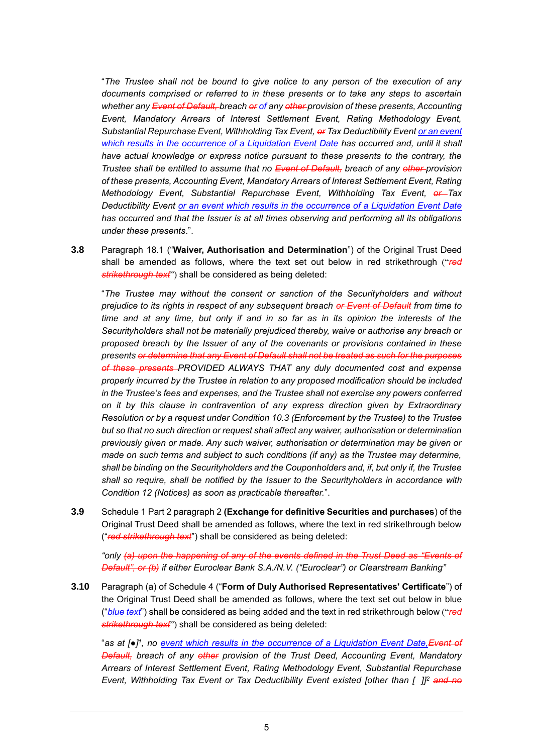"*The Trustee shall not be bound to give notice to any person of the execution of any documents comprised or referred to in these presents or to take any steps to ascertain whether any Event of Default, breach or of any other provision of these presents, Accounting Event, Mandatory Arrears of Interest Settlement Event, Rating Methodology Event, Substantial Repurchase Event, Withholding Tax Event, or Tax Deductibility Event or an event which results in the occurrence of a Liquidation Event Date has occurred and, until it shall have actual knowledge or express notice pursuant to these presents to the contrary, the Trustee shall be entitled to assume that no Event of Default, breach of any other provision of these presents, Accounting Event, Mandatory Arrears of Interest Settlement Event, Rating Methodology Event, Substantial Repurchase Event, Withholding Tax Event, or Tax Deductibility Event or an event which results in the occurrence of a Liquidation Event Date has occurred and that the Issuer is at all times observing and performing all its obligations under these presents*.".

**3.8** Paragraph 18.1 ("**Waiver, Authorisation and Determination**") of the Original Trust Deed shall be amended as follows, where the text set out below in red strikethrough ("*red strikethrough text*") shall be considered as being deleted:

"*The Trustee may without the consent or sanction of the Securityholders and without prejudice to its rights in respect of any subsequent breach or Event of Default from time to time and at any time, but only if and in so far as in its opinion the interests of the Securityholders shall not be materially prejudiced thereby, waive or authorise any breach or proposed breach by the Issuer of any of the covenants or provisions contained in these presents or determine that any Event of Default shall not be treated as such for the purposes of these presents PROVIDED ALWAYS THAT any duly documented cost and expense properly incurred by the Trustee in relation to any proposed modification should be included in the Trustee's fees and expenses, and the Trustee shall not exercise any powers conferred on it by this clause in contravention of any express direction given by Extraordinary Resolution or by a request under Condition 10.3 (Enforcement by the Trustee) to the Trustee but so that no such direction or request shall affect any waiver, authorisation or determination previously given or made. Any such waiver, authorisation or determination may be given or made on such terms and subject to such conditions (if any) as the Trustee may determine, shall be binding on the Securityholders and the Couponholders and, if, but only if, the Trustee shall so require, shall be notified by the Issuer to the Securityholders in accordance with Condition 12 (Notices) as soon as practicable thereafter.*".

**3.9** Schedule 1 Part 2 paragraph 2 **(Exchange for definitive Securities and purchases**) of the Original Trust Deed shall be amended as follows, where the text in red strikethrough below ("*red strikethrough text*") shall be considered as being deleted:

*"only (a) upon the happening of any of the events defined in the Trust Deed as "Events of Default", or (b) if either Euroclear Bank S.A./N.V. ("Euroclear") or Clearstream Banking"*

**3.10** Paragraph (a) of Schedule 4 ("**Form of Duly Authorised Representatives' Certificate**") of the Original Trust Deed shall be amended as follows, where the text set out below in blue ("*blue text*") shall be considered as being added and the text in red strikethrough below ("*red strikethrough text*") shall be considered as being deleted:

"*as at [●] 1 , no event which results in the occurrence of a Liquidation Event Date,Event of Default, breach of any other provision of the Trust Deed, Accounting Event, Mandatory Arrears of Interest Settlement Event, Rating Methodology Event, Substantial Repurchase Event, Withholding Tax Event or Tax Deductibility Event existed [other than [ ]]<sup>2</sup> and no*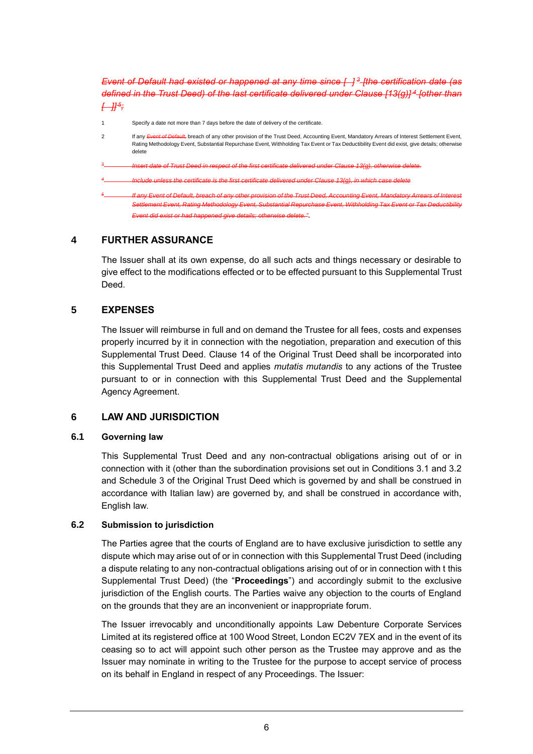*Event of Default had existed or happened at any time since [ ] <sup>3</sup> [the certification date (as defined in the Trust Deed) of the last certificate delivered under Clause [13(g)] <sup>4</sup> [other than [ ]] <sup>5</sup> ;*

Specify a date not more than 7 days before the date of delivery of the certificate 2 If any *Event of Default*, breach of any other provision of the Trust Deed, Accounting Event, Mandatory Arrears of Interest Settlement Event, Rating Methodology Event, Substantial Repurchase Event, Withholding Tax Event or Tax Deductibility Event did exist, give details; otherwise delete *3 Insert date of Trust Deed in respect of the first certificate delivered under Clause 13(g), otherwise delete. 4 Include unless the certificate is the first certificate delivered under Clause 13(g), in which case delete 5 If any Event of Default, breach of any other provision of the Trust Deed, Accounting Event, Settlement Event, Rating Methodology Event, Substantial Repurchase Event, Withholding Tax Event or Tax Deductibility Event did exist or had happened give details; otherwise delete."*.

### **4 FURTHER ASSURANCE**

The Issuer shall at its own expense, do all such acts and things necessary or desirable to give effect to the modifications effected or to be effected pursuant to this Supplemental Trust Deed.

#### **5 EXPENSES**

The Issuer will reimburse in full and on demand the Trustee for all fees, costs and expenses properly incurred by it in connection with the negotiation, preparation and execution of this Supplemental Trust Deed. Clause 14 of the Original Trust Deed shall be incorporated into this Supplemental Trust Deed and applies *mutatis mutandis* to any actions of the Trustee pursuant to or in connection with this Supplemental Trust Deed and the Supplemental Agency Agreement.

### **6 LAW AND JURISDICTION**

#### **6.1 Governing law**

This Supplemental Trust Deed and any non-contractual obligations arising out of or in connection with it (other than the subordination provisions set out in Conditions 3.1 and 3.2 and Schedule 3 of the Original Trust Deed which is governed by and shall be construed in accordance with Italian law) are governed by, and shall be construed in accordance with, English law.

#### **6.2 Submission to jurisdiction**

The Parties agree that the courts of England are to have exclusive jurisdiction to settle any dispute which may arise out of or in connection with this Supplemental Trust Deed (including a dispute relating to any non-contractual obligations arising out of or in connection with t this Supplemental Trust Deed) (the "**Proceedings**") and accordingly submit to the exclusive jurisdiction of the English courts. The Parties waive any objection to the courts of England on the grounds that they are an inconvenient or inappropriate forum.

The Issuer irrevocably and unconditionally appoints Law Debenture Corporate Services Limited at its registered office at 100 Wood Street, London EC2V 7EX and in the event of its ceasing so to act will appoint such other person as the Trustee may approve and as the Issuer may nominate in writing to the Trustee for the purpose to accept service of process on its behalf in England in respect of any Proceedings. The Issuer: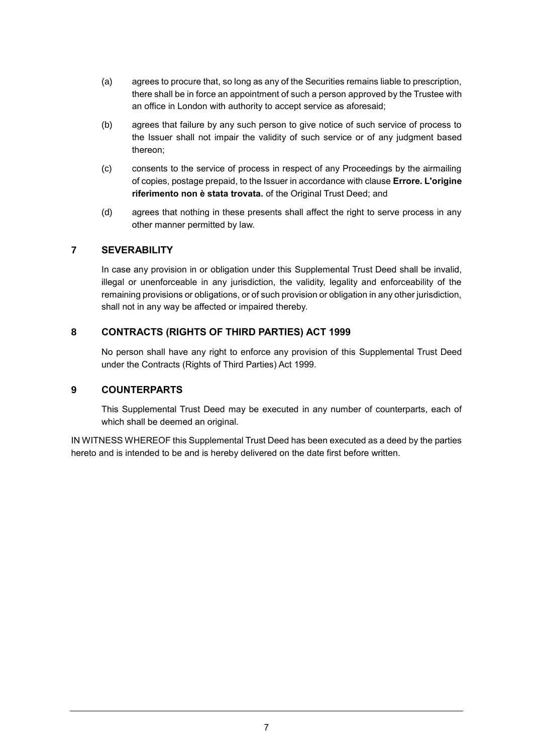- (a) agrees to procure that, so long as any of the Securities remains liable to prescription, there shall be in force an appointment of such a person approved by the Trustee with an office in London with authority to accept service as aforesaid;
- (b) agrees that failure by any such person to give notice of such service of process to the Issuer shall not impair the validity of such service or of any judgment based thereon;
- (c) consents to the service of process in respect of any Proceedings by the airmailing of copies, postage prepaid, to the Issuer in accordance with clause **Errore. L'origine riferimento non è stata trovata.** of the Original Trust Deed; and
- (d) agrees that nothing in these presents shall affect the right to serve process in any other manner permitted by law.

# **7 SEVERABILITY**

In case any provision in or obligation under this Supplemental Trust Deed shall be invalid, illegal or unenforceable in any jurisdiction, the validity, legality and enforceability of the remaining provisions or obligations, or of such provision or obligation in any other jurisdiction, shall not in any way be affected or impaired thereby.

# **8 CONTRACTS (RIGHTS OF THIRD PARTIES) ACT 1999**

No person shall have any right to enforce any provision of this Supplemental Trust Deed under the Contracts (Rights of Third Parties) Act 1999.

### **9 COUNTERPARTS**

This Supplemental Trust Deed may be executed in any number of counterparts, each of which shall be deemed an original.

IN WITNESS WHEREOF this Supplemental Trust Deed has been executed as a deed by the parties hereto and is intended to be and is hereby delivered on the date first before written.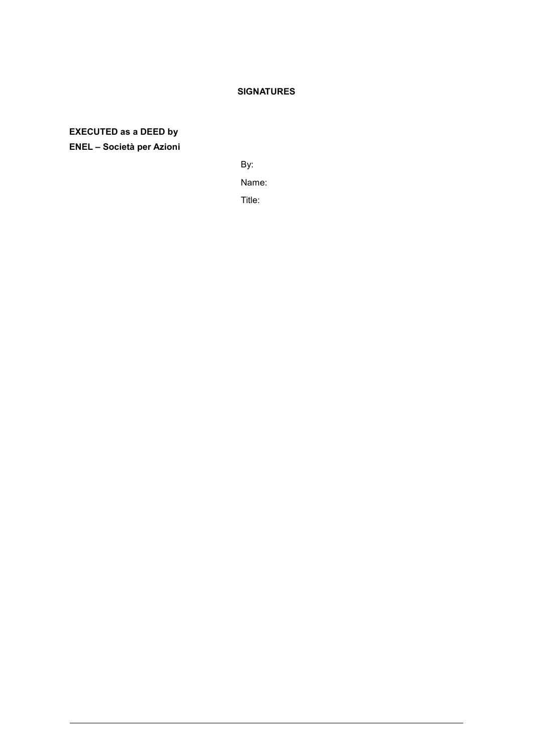## **SIGNATURES**

**EXECUTED as a DEED by ENEL – Società per Azioni**

By:

Name:

Title: